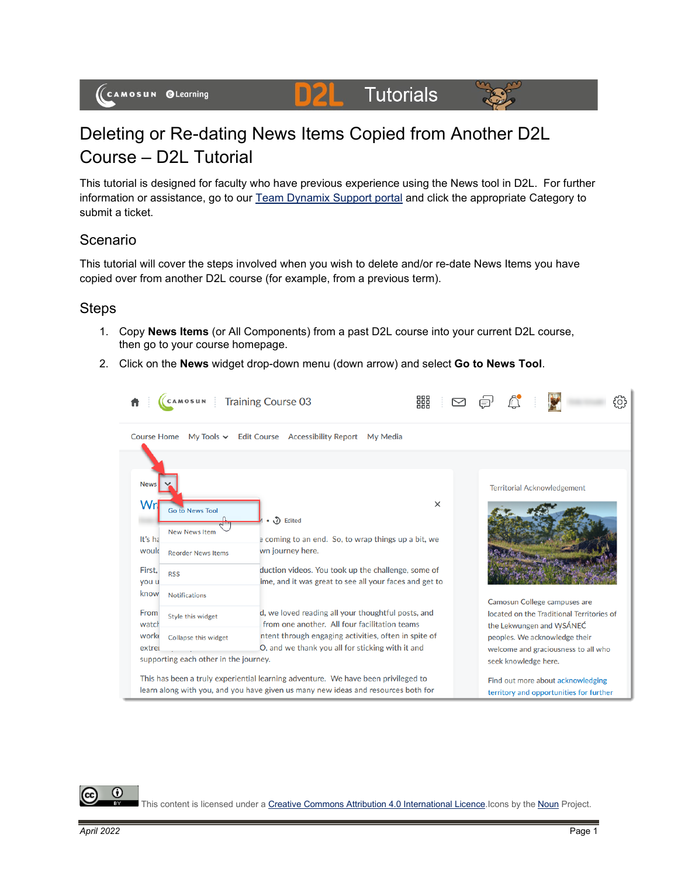

#### DZL **Tutorials**



# Deleting or Re-dating News Items Copied from Another D2L Course – D2L Tutorial

This tutorial is designed for faculty who have previous experience using the News tool in D2L. For further information or assistance, go to our [Team Dynamix Support portal](https://camosun.teamdynamix.com/TDClient/67/Portal/Requests/ServiceCatalog?CategoryID=523) and click the appropriate Category to submit a ticket.

### Scenario

This tutorial will cover the steps involved when you wish to delete and/or re-date News Items you have copied over from another D2L course (for example, from a previous term).

#### Steps

- 1. Copy **News Items** (or All Components) from a past D2L course into your current D2L course, then go to your course homepage.
- 2. Click on the **News** widget drop-down menu (down arrow) and select **Go to News Tool**.



⋒

This content is licensed under [a Creative Commons Attribution 4.0 International Licence.I](https://creativecommons.org/licenses/by/4.0/)cons by the [Noun](https://creativecommons.org/website-icons/) Project.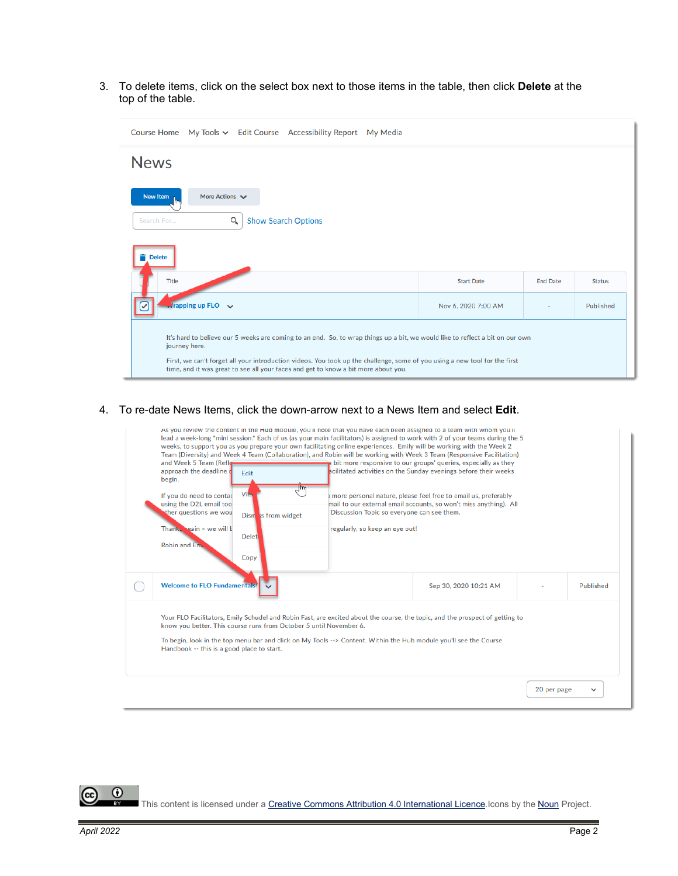3. To delete items, click on the select box next to those items in the table, then click **Delete** at the top of the table.

| Course Home My Tools v Edit Course Accessibility Report My Media                                                                                                                                                                                                                                                                                                   |                     |                 |               |  |  |  |  |
|--------------------------------------------------------------------------------------------------------------------------------------------------------------------------------------------------------------------------------------------------------------------------------------------------------------------------------------------------------------------|---------------------|-----------------|---------------|--|--|--|--|
| <b>News</b>                                                                                                                                                                                                                                                                                                                                                        |                     |                 |               |  |  |  |  |
| New Item<br>More Actions V<br><b>Show Search Options</b><br>Search For<br>Q                                                                                                                                                                                                                                                                                        |                     |                 |               |  |  |  |  |
| <b>Delete</b><br>Title                                                                                                                                                                                                                                                                                                                                             | <b>Start Date</b>   | <b>End Date</b> | <b>Status</b> |  |  |  |  |
| $\sqrt{r}$ rapping up FLO $\sqrt{r}$                                                                                                                                                                                                                                                                                                                               | Nov 6, 2020 7:00 AM |                 | Published     |  |  |  |  |
| It's hard to believe our 5 weeks are coming to an end. So, to wrap things up a bit, we would like to reflect a bit on our own<br>journey here.<br>First, we can't forget all your introduction videos. You took up the challenge, some of you using a new tool for the first<br>time, and it was great to see all your faces and get to know a bit more about you. |                     |                 |               |  |  |  |  |

4. To re-date News Items, click the down-arrow next to a News Item and select **Edit**.

| <b>Delet</b><br>Robin and Em.<br>Copy                                                                                                                                                                                                                                                                                                                                 | regularly, so keep an eye out! | Discussion Topic so everyone can see them. | mail to our external email accounts, so won't miss anything). All |           |
|-----------------------------------------------------------------------------------------------------------------------------------------------------------------------------------------------------------------------------------------------------------------------------------------------------------------------------------------------------------------------|--------------------------------|--------------------------------------------|-------------------------------------------------------------------|-----------|
| <b>Welcome to FLO Fundamentals!</b>                                                                                                                                                                                                                                                                                                                                   |                                | Sep 30, 2020 10:21 AM                      |                                                                   | Published |
| Your FLO Facilitators, Emily Schudel and Robin Fast, are excited about the course, the topic, and the prospect of getting to<br>know you better. This course runs from October 5 until November 6.<br>To begin, look in the top menu bar and click on My Tools --> Content. Within the Hub module you'll see the Course<br>Handbook -- this is a good place to start. |                                |                                            |                                                                   |           |

 $\overline{0}$ This content is licensed under [a Creative Commons Attribution 4.0 International Licence.I](https://creativecommons.org/licenses/by/4.0/)cons by the [Noun](https://creativecommons.org/website-icons/) Project.

(cc)